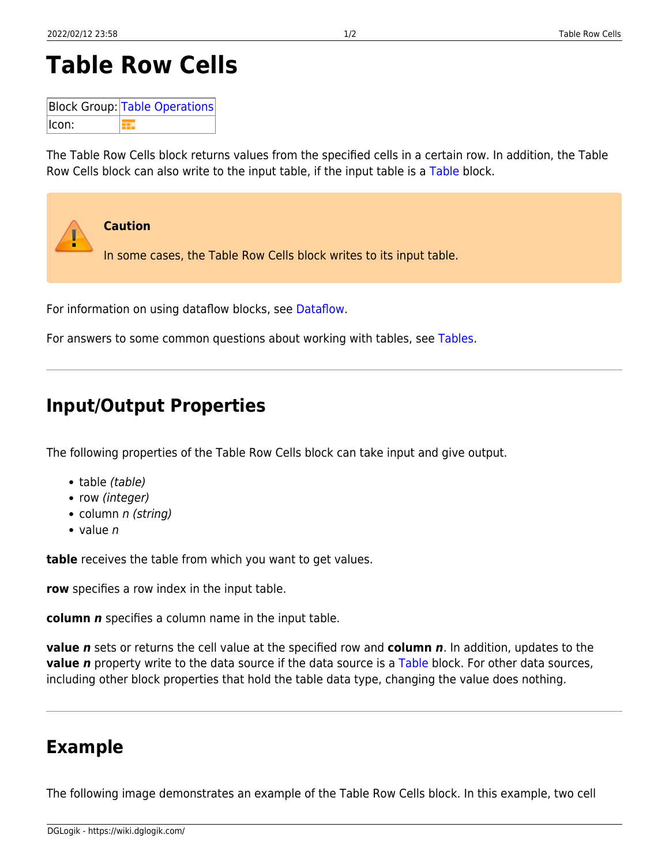## **Table Row Cells**

**Block Group: [Table Operations](https://wiki.dglogik.com/dglux5_wiki:dataflow:dataflow_blocks_reference:table_operations:home)** Icon:

The Table Row Cells block returns values from the specified cells in a certain row. In addition, the Table Row Cells block can also write to the input table, if the input table is a [Table](https://wiki.dglogik.com/dglux5_wiki:dataflow:dataflow_blocks_reference:variables:table) block.

For information on using dataflow blocks, see [Dataflow](https://wiki.dglogik.com/dglux5_wiki:dataflow:home).

For answers to some common questions about working with tables, see [Tables.](https://wiki.dglogik.com/dglux5_wiki:dataflow:working_with_tables:home)

## **Input/Output Properties**

The following properties of the Table Row Cells block can take input and give output.

- table (table)
- row (integer)
- column *n (string)*
- $\bullet$  value *n*

**table** receives the table from which you want to get values.

**row** specifies a row index in the input table.

**column** *n* specifies a column name in the input table.

**value** *n* sets or returns the cell value at the specified row and **column** *n*. In addition, updates to the **value** *n* property write to the data source if the data source is a [Table](https://wiki.dglogik.com/dglux5_wiki:dataflow:dataflow_blocks_reference:variables:table) block. For other data sources, including other block properties that hold the table data type, changing the value does nothing.

## **Example**

The following image demonstrates an example of the Table Row Cells block. In this example, two cell